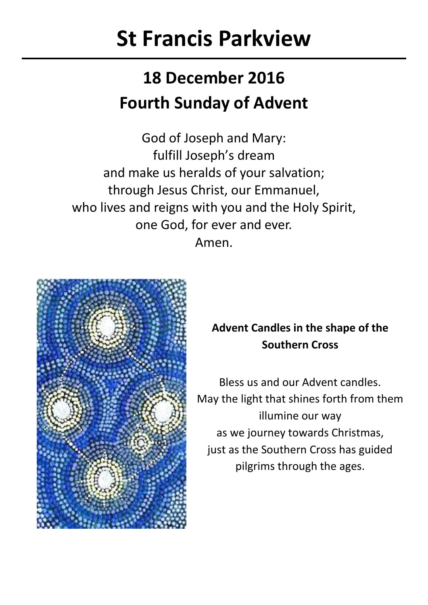# **St Francis Parkview**

# **18 December 2016 Fourth Sunday of Advent**

God of Joseph and Mary: fulfill Joseph's dream and make us heralds of your salvation; through Jesus Christ, our Emmanuel, who lives and reigns with you and the Holy Spirit. one God, for ever and ever. Amen.



# **Advent Candles in the shape of the Southern Cross**

Bless us and our Advent candles. May the light that shines forth from them illumine our way as we journey towards Christmas, just as the Southern Cross has guided pilgrims through the ages.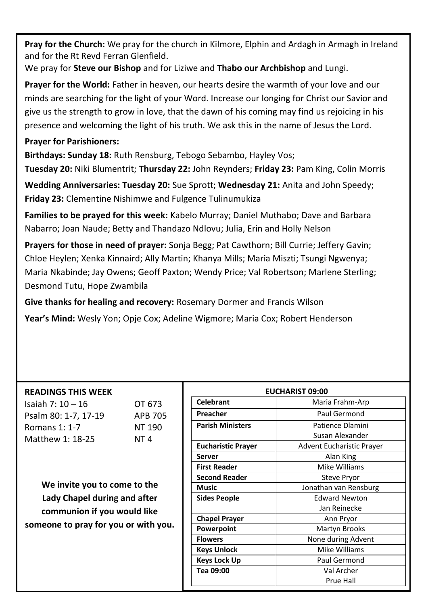Pray for the Church: We pray for the church in Kilmore, Elphin and Ardagh in Armagh in Ireland and for the Rt Revd Ferran Glenfield.

We pray for **Steve our Bishop** and for Liziwe and **Thabo our Archbishop** and Lungi.

**Prayer for the World:** Father in heaven, our hearts desire the warmth of your love and our minds are searching for the light of your Word. Increase our longing for Christ our Savior and give us the strength to grow in love, that the dawn of his coming may find us rejoicing in his presence and welcoming the light of his truth. We ask this in the name of Jesus the Lord.

# **Prayer for Parishioners:**

**Birthdays: Sunday 18:** Ruth Rensburg, Tebogo Sebambo, Hayley Vos;

**Tuesday 20:** Niki Blumentrit; **Thursday 22:** John Reynders; **Friday 23:** Pam King, Colin Morris

**Wedding Anniversaries: Tuesday 20:** Sue Sprott; **Wednesday 21:** Anita and John Speedy; **Friday 23:** Clementine Nishimwe and Fulgence Tulinumukiza

**Families to be prayed for this week:** Kabelo Murray; Daniel Muthabo; Dave and Barbara Nabarro; Joan Naude; Betty and Thandazo Ndlovu; Julia, Erin and Holly Nelson

**Prayers for those in need of prayer:** Sonja Begg; Pat Cawthorn; Bill Currie; Jeffery Gavin; Chloe Heylen; Xenka Kinnaird; Ally Martin; Khanya Mills; Maria Miszti; Tsungi Ngwenya; Maria Nkabinde; Jay Owens; Geoff Paxton; Wendy Price; Val Robertson; Marlene Sterling; Desmond Tutu, Hope Zwambila

**Give thanks for healing and recovery:** Rosemary Dormer and Francis Wilson **Year's Mind:** Wesly Yon; Opje Cox; Adeline Wigmore; Maria Cox; Robert Henderson

## **READINGS THIS WEEK**

Isaiah 7: 10 – 16 OT 673 Psalm 80: 1-7, 17-19 APB 705 Romans 1: 1-7 NT 190 Matthew 1: 18-25 NT 4

**We invite you to come to the Lady Chapel during and after communion if you would like someone to pray for you or with you.** 

| EUCHARIST 09:00           |                                  |  |
|---------------------------|----------------------------------|--|
| Celebrant                 | Maria Frahm-Arp                  |  |
| Preacher                  | Paul Germond                     |  |
| <b>Parish Ministers</b>   | Patience Dlamini                 |  |
|                           | Susan Alexander                  |  |
| <b>Eucharistic Prayer</b> | <b>Advent Eucharistic Prayer</b> |  |
| Server                    | Alan King                        |  |
| <b>First Reader</b>       | Mike Williams                    |  |
| <b>Second Reader</b>      | <b>Steve Pryor</b>               |  |
| Music                     | Jonathan van Rensburg            |  |
| <b>Sides People</b>       | <b>Edward Newton</b>             |  |
|                           | Jan Reinecke                     |  |
| <b>Chapel Prayer</b>      | Ann Pryor                        |  |
| Powerpoint                | Martyn Brooks                    |  |
| <b>Flowers</b>            | None during Advent               |  |
| <b>Keys Unlock</b>        | Mike Williams                    |  |
| <b>Keys Lock Up</b>       | Paul Germond                     |  |
| Tea 09:00                 | Val Archer                       |  |
|                           | Prue Hall                        |  |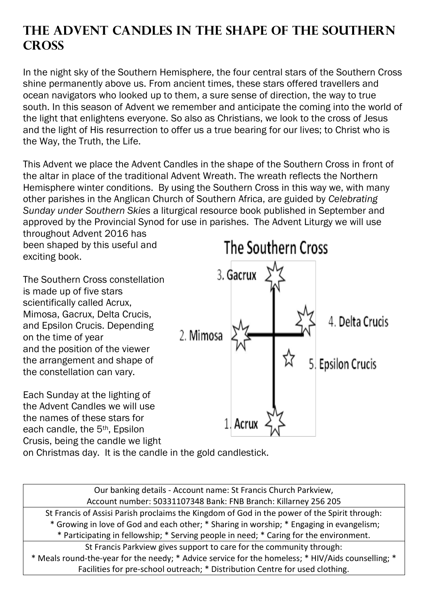# **The Advent Candles in the Shape of the Southern Cross**

In the night sky of the Southern Hemisphere, the four central stars of the Southern Cross shine permanently above us. From ancient times, these stars offered travellers and ocean navigators who looked up to them, a sure sense of direction, the way to true south. In this season of Advent we remember and anticipate the coming into the world of the light that enlightens everyone. So also as Christians, we look to the cross of Jesus and the light of His resurrection to offer us a true bearing for our lives; to Christ who is the Way, the Truth, the Life.

This Advent we place the Advent Candles in the shape of the Southern Cross in front of the altar in place of the traditional Advent Wreath. The wreath reflects the Northern Hemisphere winter conditions. By using the Southern Cross in this way we, with many other parishes in the Anglican Church of Southern Africa, are guided by *Celebrating Sunday under Southern Skies* a liturgical resource book published in September and approved by the Provincial Synod for use in parishes. The Advent Liturgy we will use throughout Advent 2016 has

been shaped by this useful and exciting book.

The Southern Cross constellation is made up of five stars scientifically called Acrux, Mimosa, Gacrux, Delta Crucis, and Epsilon Crucis. Depending on the time of year and the position of the viewer the arrangement and shape of the constellation can vary.

Each Sunday at the lighting of the Advent Candles we will use the names of these stars for each candle, the 5th, Epsilon Crusis, being the candle we light



on Christmas day. It is the candle in the gold candlestick.

Our banking details - Account name: St Francis Church Parkview, Account number: 50331107348 Bank: FNB Branch: Killarney 256 205 St Francis of Assisi Parish proclaims the Kingdom of God in the power of the Spirit through: \* Growing in love of God and each other; \* Sharing in worship; \* Engaging in evangelism; \* Participating in fellowship; \* Serving people in need; \* Caring for the environment. St Francis Parkview gives support to care for the community through: \* Meals round-the-year for the needy; \* Advice service for the homeless; \* HIV/Aids counselling; \* Facilities for pre-school outreach; \* Distribution Centre for used clothing.